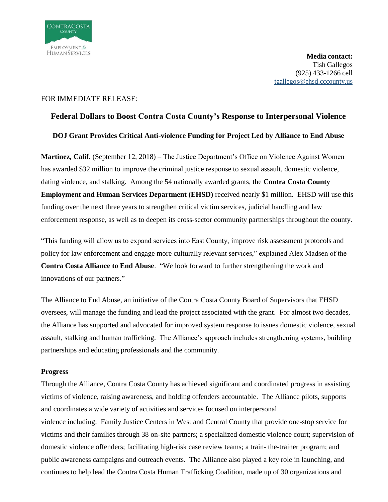

## FOR IMMEDIATE RELEASE:

# **Federal Dollars to Boost Contra Costa County's Response to Interpersonal Violence DOJ Grant Provides Critical Anti-violence Funding for Project Led by Alliance to End Abuse**

**Martinez, Calif.** (September 12, 2018) – The Justice Department's Office on Violence Against Women has awarded \$32 million to improve the criminal justice response to sexual assault, domestic violence, dating violence, and stalking. Among the 54 nationally awarded grants, the **Contra Costa County Employment and Human Services Department (EHSD)** received nearly \$1 million. EHSD will use this funding over the next three years to strengthen critical victim services, judicial handling and law enforcement response, as well as to deepen its cross-sector community partnerships throughout the county.

"This funding will allow us to expand services into East County, improve risk assessment protocols and policy for law enforcement and engage more culturally relevant services," explained Alex Madsen of the **Contra Costa Alliance to End Abuse**. "We look forward to further strengthening the work and innovations of our partners."

The Alliance to End Abuse, an initiative of the Contra Costa County Board of Supervisors that EHSD oversees, will manage the funding and lead the project associated with the grant. For almost two decades, the Alliance has supported and advocated for improved system response to issues domestic violence, sexual assault, stalking and human trafficking. The Alliance's approach includes strengthening systems, building partnerships and educating professionals and the community.

# **Progress**

Through the Alliance, Contra Costa County has achieved significant and coordinated progress in assisting victims of violence, raising awareness, and holding offenders accountable. The Alliance pilots, supports and coordinates a wide variety of activities and services focused on interpersonal violence including: Family Justice Centers in West and Central County that provide one-stop service for victims and their families through 38 on-site partners; a specialized domestic violence court; supervision of domestic violence offenders; facilitating high-risk case review teams; a train- the-trainer program; and public awareness campaigns and outreach events. The Alliance also played a key role in launching, and continues to help lead the Contra Costa Human Trafficking Coalition, made up of 30 organizations and